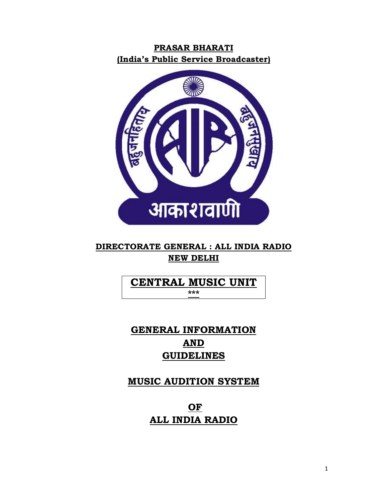# **PRASAR BHARATI (India's Public Service Broadcaster)**



# **DIRECTORATE GENERAL : ALL INDIA RADIO NEW DELHI**

# **CENTRAL MUSIC UNIT \*\*\***

**GENERAL INFORMATION AND GUIDELINES**

**MUSIC AUDITION SYSTEM**

**OF ALL INDIA RADIO**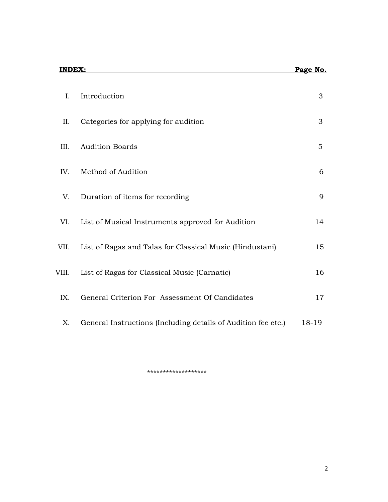| <b>INDEX:</b> |                                                               | Page No. |
|---------------|---------------------------------------------------------------|----------|
| I.            | Introduction                                                  | 3        |
| II.           | Categories for applying for audition                          | 3        |
| III.          | <b>Audition Boards</b>                                        | 5        |
| IV.           | Method of Audition                                            | 6        |
| V.            | Duration of items for recording                               | 9        |
| VI.           | List of Musical Instruments approved for Audition             | 14       |
| VII.          | List of Ragas and Talas for Classical Music (Hindustani)      | 15       |
| VIII.         | List of Ragas for Classical Music (Carnatic)                  | 16       |
| IX.           | General Criterion For Assessment Of Candidates                | 17       |
| X.            | General Instructions (Including details of Audition fee etc.) | 18-19    |

\*\*\*\*\*\*\*\*\*\*\*\*\*\*\*\*\*\*\*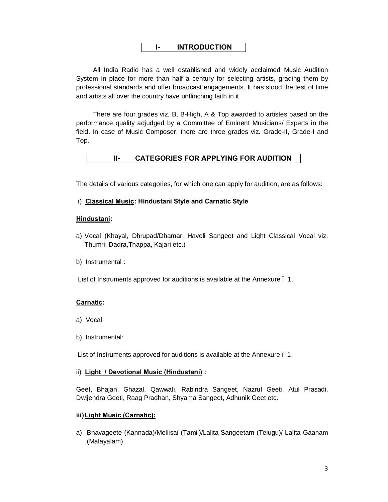# **I- INTRODUCTION**

All India Radio has a well established and widely acclaimed Music Audition System in place for more than half a century for selecting artists, grading them by professional standards and offer broadcast engagements. It has stood the test of time and artists all over the country have unflinching faith in it.

There are four grades viz. B, B-High, A & Top awarded to artistes based on the performance quality adjudged by a Committee of Eminent Musicians/ Experts in the field. In case of Music Composer, there are three grades viz. Grade-II, Grade-I and Top.

**II- CATEGORIES FOR APPLYING FOR AUDITION**

The details of various categories, for which one can apply for audition, are as follows:

### i) **Classical Music: Hindustani Style and Carnatic Style**

### **Hindustani:**

- a) Vocal (Khayal, Dhrupad/Dhamar, Haveli Sangeet and Light Classical Vocal viz. Thumri, Dadra,Thappa, Kajari etc.)
- b) Instrumental :

List of Instruments approved for auditions is available at the Annexure . 1.

### **Carnatic:**

- a) Vocal
- b) Instrumental:

List of Instruments approved for auditions is available at the Annexure . 1.

#### ii) **Light / Devotional Music (Hindustani) :**

Geet, Bhajan, Ghazal, Qawwali, Rabindra Sangeet, Nazrul Geeti, Atul Prasadi, Dwijendra Geeti, Raag Pradhan, Shyama Sangeet, Adhunik Geet etc.

### **iii)Light Music (Carnatic):**

a) Bhavageete (Kannada)/Mellisai (Tamil)/Lalita Sangeetam (Telugu)/ Lalita Gaanam (Malayalam)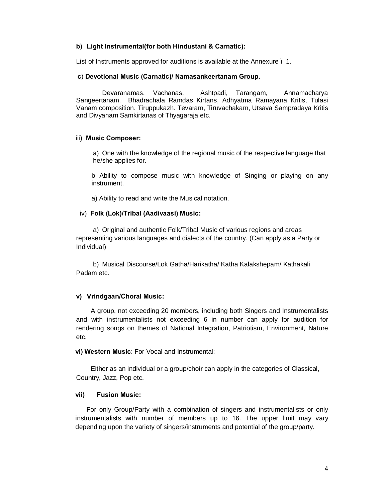### **b) Light Instrumental(for both Hindustani & Carnatic):**

List of Instruments approved for auditions is available at the Annexure – 1.

#### **c**) **Devotional Music (Carnatic)/ Namasankeertanam Group.**

Devaranamas. Vachanas, Ashtpadi, Tarangam, Annamacharya Sangeertanam. Bhadrachala Ramdas Kirtans, Adhyatma Ramayana Kritis, Tulasi Vanam composition. Tiruppukazh. Tevaram, Tiruvachakam, Utsava Sampradaya Kritis and Divyanam Samkirtanas of Thyagaraja etc.

### iii) **Music Composer:**

a) One with the knowledge of the regional music of the respective language that he/she applies for.

b Ability to compose music with knowledge of Singing or playing on any instrument.

a) Ability to read and write the Musical notation.

### iv) **Folk (Lok)/Tribal (Aadivaasi) Music:**

a) Original and authentic Folk/Tribal Music of various regions and areas representing various languages and dialects of the country. (Can apply as a Party or Individual)

b) Musical Discourse/Lok Gatha/Harikatha/ Katha Kalakshepam/ Kathakali Padam etc.

### **v) Vrindgaan/Choral Music:**

 A group, not exceeding 20 members, including both Singers and Instrumentalists and with instrumentalists not exceeding 6 in number can apply for audition for rendering songs on themes of National Integration, Patriotism, Environment, Nature etc.

**vi) Western Music**: For Vocal and Instrumental:

 Either as an individual or a group/choir can apply in the categories of Classical, Country, Jazz, Pop etc.

### **vii) Fusion Music:**

 For only Group/Party with a combination of singers and instrumentalists or only instrumentalists with number of members up to 16. The upper limit may vary depending upon the variety of singers/instruments and potential of the group/party.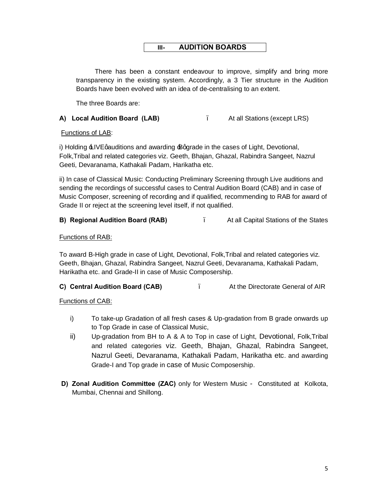# **III- AUDITION BOARDS**

There has been a constant endeavour to improve, simplify and bring more transparency in the existing system. Accordingly, a 3 Tier structure in the Audition Boards have been evolved with an idea of de-centralising to an extent.

The three Boards are:

# **A) Local Audition Board (LAB)** – At all Stations (except LRS)

# Functions of LAB:

i) Holding  $\pm$ IVE gauditions and awarding  $\pm$  Bggrade in the cases of Light, Devotional, Folk,Tribal and related categories viz. Geeth, Bhajan, Ghazal, Rabindra Sangeet, Nazrul Geeti, Devaranama, Kathakali Padam, Harikatha etc.

ii) In case of Classical Music: Conducting Preliminary Screening through Live auditions and sending the recordings of successful cases to Central Audition Board (CAB) and in case of Music Composer, screening of recording and if qualified, recommending to RAB for award of Grade II or reject at the screening level itself, if not qualified.

# **B) Regional Audition Board (RAB)** At all Capital Stations of the States

# Functions of RAB:

To award B-High grade in case of Light, Devotional, Folk,Tribal and related categories viz. Geeth, Bhajan, Ghazal, Rabindra Sangeet, Nazrul Geeti, Devaranama, Kathakali Padam, Harikatha etc. and Grade-II in case of Music Composership.

# **C) Central Audition Board (CAB)** – At the Directorate General of AIR

# Functions of CAB:

- i) To take-up Gradation of all fresh cases & Up-gradation from B grade onwards up to Top Grade in case of Classical Music,
- ii) Up-gradation from BH to A & A to Top in case of Light, Devotional, Folk,Tribal and related categories viz. Geeth, Bhajan, Ghazal, Rabindra Sangeet, Nazrul Geeti, Devaranama, Kathakali Padam, Harikatha etc. and awarding Grade-I and Top grade in case of Music Composership.
- **D) Zonal Audition Committee (ZAC)** only for Western Music -Constituted at Kolkota, Mumbai, Chennai and Shillong.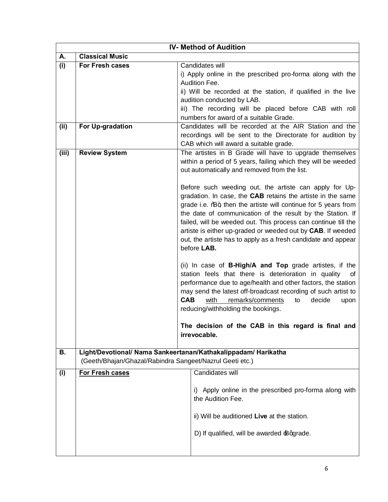| <b>IV- Method of Audition</b> |                                                                                                                                                                                                                                                                                                                                                                       |                                                                                                                                                                                                                                                                                                                                                                                                                                                                          |  |
|-------------------------------|-----------------------------------------------------------------------------------------------------------------------------------------------------------------------------------------------------------------------------------------------------------------------------------------------------------------------------------------------------------------------|--------------------------------------------------------------------------------------------------------------------------------------------------------------------------------------------------------------------------------------------------------------------------------------------------------------------------------------------------------------------------------------------------------------------------------------------------------------------------|--|
| <b>Classical Music</b>        |                                                                                                                                                                                                                                                                                                                                                                       |                                                                                                                                                                                                                                                                                                                                                                                                                                                                          |  |
| For Fresh cases               |                                                                                                                                                                                                                                                                                                                                                                       | Candidates will<br>i) Apply online in the prescribed pro-forma along with the<br>Audition Fee.<br>ii) Will be recorded at the station, if qualified in the live<br>audition conducted by LAB.                                                                                                                                                                                                                                                                            |  |
|                               |                                                                                                                                                                                                                                                                                                                                                                       | iii) The recording will be placed before CAB with roll<br>numbers for award of a suitable Grade.                                                                                                                                                                                                                                                                                                                                                                         |  |
| For Up-gradation              |                                                                                                                                                                                                                                                                                                                                                                       | Candidates will be recorded at the AIR Station and the<br>recordings will be sent to the Directorate for audition by<br>CAB which will award a suitable grade.                                                                                                                                                                                                                                                                                                           |  |
|                               |                                                                                                                                                                                                                                                                                                                                                                       | The artistes in B Grade will have to upgrade themselves<br>within a period of 5 years, failing which they will be weeded<br>out automatically and removed from the list.                                                                                                                                                                                                                                                                                                 |  |
|                               |                                                                                                                                                                                                                                                                                                                                                                       | Before such weeding out, the artiste can apply for Up-<br>gradation. In case, the CAB retains the artiste in the same<br>grade i.e. % a+, then the artiste will continue for 5 years from<br>the date of communication of the result by the Station. If<br>failed, will be weeded out. This process can continue till the<br>artiste is either up-graded or weeded out by CAB. If weeded<br>out, the artiste has to apply as a fresh candidate and appear<br>before LAB. |  |
|                               | (ii) In case of <b>B-High/A and Top</b> grade artistes, if the<br>station feels that there is deterioration in quality<br>of<br>performance due to age/health and other factors, the station<br>may send the latest off-broadcast recording of such artist to<br><b>CAB</b><br>with<br>remarks/comments<br>decide<br>to<br>upon<br>reducing/withholding the bookings. |                                                                                                                                                                                                                                                                                                                                                                                                                                                                          |  |
|                               |                                                                                                                                                                                                                                                                                                                                                                       | The decision of the CAB in this regard is final and<br>irrevocable.                                                                                                                                                                                                                                                                                                                                                                                                      |  |
|                               |                                                                                                                                                                                                                                                                                                                                                                       |                                                                                                                                                                                                                                                                                                                                                                                                                                                                          |  |
| For Fresh cases               |                                                                                                                                                                                                                                                                                                                                                                       | Candidates will                                                                                                                                                                                                                                                                                                                                                                                                                                                          |  |
|                               |                                                                                                                                                                                                                                                                                                                                                                       | i) Apply online in the prescribed pro-forma along with<br>the Audition Fee.                                                                                                                                                                                                                                                                                                                                                                                              |  |
|                               |                                                                                                                                                                                                                                                                                                                                                                       | ii) Will be auditioned Live at the station.                                                                                                                                                                                                                                                                                                                                                                                                                              |  |
|                               |                                                                                                                                                                                                                                                                                                                                                                       | D) If qualified, will be awarded Bagrade.                                                                                                                                                                                                                                                                                                                                                                                                                                |  |
|                               | <b>Review System</b>                                                                                                                                                                                                                                                                                                                                                  | Light/Devotional/ Nama Sankeertanan/Kathakalippadam/ Harikatha<br>(Geeth/Bhajan/Ghazal/Rabindra Sangeet/Nazrul Geeti etc.)                                                                                                                                                                                                                                                                                                                                               |  |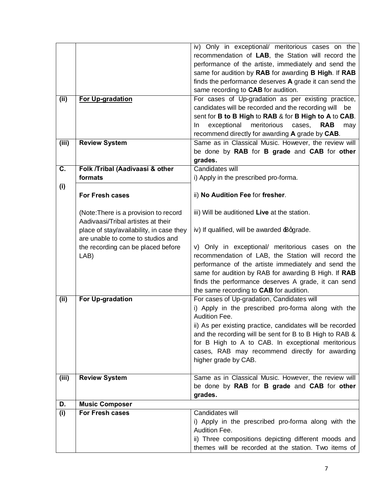|                           |                                          | iv) Only in exceptional/ meritorious cases on the               |
|---------------------------|------------------------------------------|-----------------------------------------------------------------|
|                           |                                          | recommendation of LAB, the Station will record the              |
|                           |                                          | performance of the artiste, immediately and send the            |
|                           |                                          | same for audition by RAB for awarding B High. If RAB            |
|                           |                                          | finds the performance deserves A grade it can send the          |
|                           |                                          | same recording to CAB for audition.                             |
| (ii)                      | For Up-gradation                         | For cases of Up-gradation as per existing practice,             |
|                           |                                          | candidates will be recorded and the recording will<br>be        |
|                           |                                          | sent for B to B High to RAB & for B High to A to CAB.           |
|                           |                                          | exceptional<br>meritorious<br><b>RAB</b><br>In<br>cases,<br>may |
|                           |                                          | recommend directly for awarding A grade by CAB.                 |
| (iii)                     | <b>Review System</b>                     | Same as in Classical Music. However, the review will            |
|                           |                                          | be done by RAB for B grade and CAB for other                    |
|                           |                                          | grades.                                                         |
| $\overline{\mathsf{C}}$ . | Folk /Tribal (Aadivaasi & other          | Candidates will                                                 |
|                           | formats                                  | i) Apply in the prescribed pro-forma.                           |
| (i)                       |                                          |                                                                 |
|                           | For Fresh cases                          | ii) No Audition Fee for fresher.                                |
|                           |                                          |                                                                 |
|                           | (Note: There is a provision to record    | iii) Will be auditioned Live at the station.                    |
|                           | Aadivaasi/Tribal artistes at their       |                                                                 |
|                           | place of stay/availability, in case they | iv) If qualified, will be awarded Bagrade.                      |
|                           | are unable to come to studios and        |                                                                 |
|                           | the recording can be placed before       | v) Only in exceptional/ meritorious cases on the                |
|                           | LAB)                                     | recommendation of LAB, the Station will record the              |
|                           |                                          | performance of the artiste immediately and send the             |
|                           |                                          | same for audition by RAB for awarding B High. If RAB            |
|                           |                                          | finds the performance deserves A grade, it can send             |
|                           |                                          | the same recording to CAB for audition.                         |
| (iii)                     | For Up-gradation                         | For cases of Up-gradation, Candidates will                      |
|                           |                                          | i) Apply in the prescribed pro-forma along with the             |
|                           |                                          | Audition Fee.                                                   |
|                           |                                          | ii) As per existing practice, candidates will be recorded       |
|                           |                                          | and the recording will be sent for B to B High to RAB &         |
|                           |                                          | for B High to A to CAB. In exceptional meritorious              |
|                           |                                          | cases, RAB may recommend directly for awarding                  |
|                           |                                          | higher grade by CAB.                                            |
|                           |                                          |                                                                 |
| (iii)                     | <b>Review System</b>                     | Same as in Classical Music. However, the review will            |
|                           |                                          | be done by RAB for B grade and CAB for other                    |
|                           |                                          | grades.                                                         |
| D.                        | <b>Music Composer</b>                    |                                                                 |
| (i)                       | For Fresh cases                          | Candidates will                                                 |
|                           |                                          | i) Apply in the prescribed pro-forma along with the             |
|                           |                                          | Audition Fee.                                                   |
|                           |                                          | ii) Three compositions depicting different moods and            |
|                           |                                          | themes will be recorded at the station. Two items of            |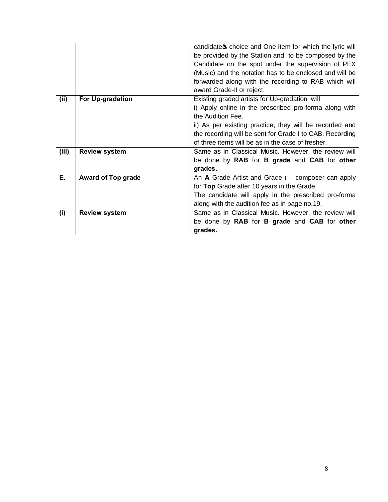|       |                           | candidatecs choice and One item for which the lyric will |
|-------|---------------------------|----------------------------------------------------------|
|       |                           | be provided by the Station and to be composed by the     |
|       |                           | Candidate on the spot under the supervision of PEX       |
|       |                           | (Music) and the notation has to be enclosed and will be  |
|       |                           | forwarded along with the recording to RAB which will     |
|       |                           | award Grade-II or reject.                                |
| (ii)  | For Up-gradation          | Existing graded artists for Up-gradation will            |
|       |                           | i) Apply online in the prescribed pro-forma along with   |
|       |                           | the Audition Fee.                                        |
|       |                           | ii) As per existing practice, they will be recorded and  |
|       |                           | the recording will be sent for Grade I to CAB. Recording |
|       |                           | of three items will be as in the case of fresher.        |
| (iii) | <b>Review system</b>      | Same as in Classical Music. However, the review will     |
|       |                           | be done by RAB for B grade and CAB for other             |
|       |                           | grades.                                                  |
| Е.    | <b>Award of Top grade</b> | An A Grade Artist and Grade . I composer can apply       |
|       |                           | for Top Grade after 10 years in the Grade.               |
|       |                           | The candidate will apply in the prescribed pro-forma     |
|       |                           | along with the audition fee as in page no.19.            |
| (i)   | <b>Review system</b>      | Same as in Classical Music. However, the review will     |
|       |                           | be done by RAB for B grade and CAB for other             |
|       |                           | grades.                                                  |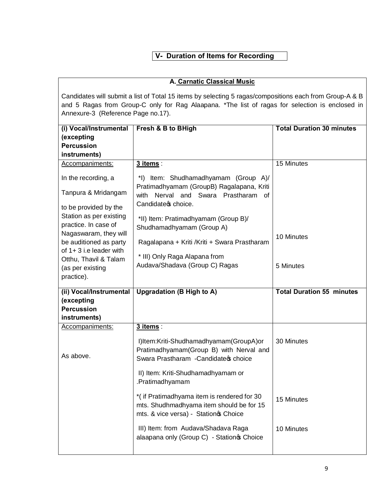# **V- Duration of Items for Recording**

# **A. Carnatic Classical Music**

Candidates will submit a list of Total 15 items by selecting 5 ragas/compositions each from Group-A & B and 5 Ragas from Group-C only for Rag Alaapana. \*The list of ragas for selection is enclosed in Annexure-3 (Reference Page no.17).

| (i) Vocal/Instrumental                                                                                                                                                                                                                                           | Fresh & B to BHigh                                                                                                                                                                                                                                                                                                                        | <b>Total Duration 30 minutes</b> |
|------------------------------------------------------------------------------------------------------------------------------------------------------------------------------------------------------------------------------------------------------------------|-------------------------------------------------------------------------------------------------------------------------------------------------------------------------------------------------------------------------------------------------------------------------------------------------------------------------------------------|----------------------------------|
| (excepting                                                                                                                                                                                                                                                       |                                                                                                                                                                                                                                                                                                                                           |                                  |
| <b>Percussion</b>                                                                                                                                                                                                                                                |                                                                                                                                                                                                                                                                                                                                           |                                  |
| instruments)                                                                                                                                                                                                                                                     |                                                                                                                                                                                                                                                                                                                                           |                                  |
| Accompaniments:                                                                                                                                                                                                                                                  | 3 items:                                                                                                                                                                                                                                                                                                                                  | 15 Minutes                       |
| In the recording, a<br>Tanpura & Mridangam<br>to be provided by the<br>Station as per existing<br>practice. In case of<br>Nagaswaram, they will<br>be auditioned as party<br>of $1+3$ i.e leader with<br>Otthu, Thavil & Talam<br>(as per existing<br>practice). | *I) Item: Shudhamadhyamam (Group A)/<br>Pratimadhyamam (GroupB) Ragalapana, Kriti<br>Nerval and Swara Prastharam of<br>with<br>Candidatec choice.<br>*II) Item: Pratimadhyamam (Group B)/<br>Shudhamadhyamam (Group A)<br>Ragalapana + Kriti /Kriti + Swara Prastharam<br>* III) Only Raga Alapana from<br>Audava/Shadava (Group C) Ragas | 10 Minutes<br>5 Minutes          |
|                                                                                                                                                                                                                                                                  |                                                                                                                                                                                                                                                                                                                                           |                                  |
|                                                                                                                                                                                                                                                                  |                                                                                                                                                                                                                                                                                                                                           | <b>Total Duration 55 minutes</b> |
| (ii) Vocal/Instrumental<br>(excepting                                                                                                                                                                                                                            | <b>Upgradation (B High to A)</b>                                                                                                                                                                                                                                                                                                          |                                  |
| Percussion                                                                                                                                                                                                                                                       |                                                                                                                                                                                                                                                                                                                                           |                                  |
| instruments)                                                                                                                                                                                                                                                     |                                                                                                                                                                                                                                                                                                                                           |                                  |
| Accompaniments:                                                                                                                                                                                                                                                  | 3 items:                                                                                                                                                                                                                                                                                                                                  |                                  |
| As above.                                                                                                                                                                                                                                                        | I)Item:Kriti-Shudhamadhyamam(GroupA)or<br>Pratimadhyamam(Group B) with Nerval and<br>Swara Prastharam - Candidatecs choice                                                                                                                                                                                                                | 30 Minutes                       |
|                                                                                                                                                                                                                                                                  | II) Item: Kriti-Shudhamadhyamam or<br>.Pratimadhyamam                                                                                                                                                                                                                                                                                     |                                  |
|                                                                                                                                                                                                                                                                  | *( if Pratimadhyama item is rendered for 30<br>mts. Shudhmadhyama item should be for 15<br>mts. & vice versa) - Stationos Choice                                                                                                                                                                                                          | 15 Minutes                       |
|                                                                                                                                                                                                                                                                  | III) Item: from Audava/Shadava Raga<br>alaapana only (Group C) - Stationos Choice                                                                                                                                                                                                                                                         | 10 Minutes                       |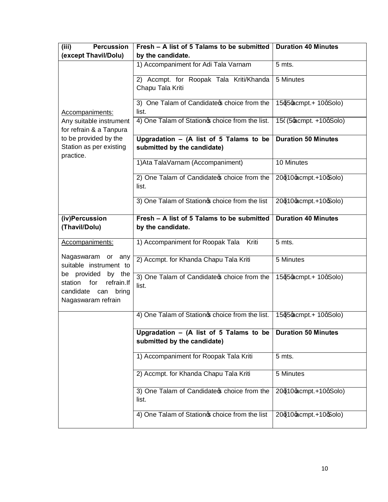| <b>Percussion</b><br>(iii)                                                                            | Fresh - A list of 5 Talams to be submitted                               | <b>Duration 40 Minutes</b> |  |
|-------------------------------------------------------------------------------------------------------|--------------------------------------------------------------------------|----------------------------|--|
| (except Thavil/Dolu)                                                                                  | by the candidate.                                                        |                            |  |
|                                                                                                       | 1) Accompaniment for Adi Tala Varnam                                     | 5 mts.                     |  |
|                                                                                                       | 2) Accmpt. for Roopak Tala Kriti/Khanda<br>Chapu Tala Kriti              | 5 Minutes                  |  |
| Accompaniments:                                                                                       | 3) One Talam of Candidatecs choice from the<br>list.                     | 15q5qacmpt.+ 10qSolo)      |  |
| Any suitable instrument<br>for refrain & a Tanpura                                                    | 4) One Talam of Stationos choice from the list.                          | 15 (5 acmpt. + 10 q Solo)  |  |
| to be provided by the<br>Station as per existing<br>practice.                                         | Upgradation $-$ (A list of 5 Talams to be<br>submitted by the candidate) | <b>Duration 50 Minutes</b> |  |
|                                                                                                       | 1) Ata Tala Varnam (Accompaniment)                                       | 10 Minutes                 |  |
|                                                                                                       | 2) One Talam of Candidatecs choice from the<br>list.                     | 20010@cmpt.+10\$olo)       |  |
|                                                                                                       | 3) One Talam of Stationos choice from the list                           | 20q10qacmpt.+10qSolo)      |  |
| (iv)Percussion<br>(Thavil/Dolu)                                                                       | Fresh - A list of 5 Talams to be submitted<br>by the candidate.          | <b>Duration 40 Minutes</b> |  |
| Accompaniments:                                                                                       | 1) Accompaniment for Roopak Tala<br>Kriti                                | 5 mts.                     |  |
| Nagaswaram<br>or<br>any<br>suitable instrument to                                                     | 2) Accmpt. for Khanda Chapu Tala Kriti                                   | 5 Minutes                  |  |
| be provided<br>by the<br>refrain.If<br>station<br>for<br>candidate can<br>bring<br>Nagaswaram refrain | 3) One Talam of Candidatec choice from the<br>list.                      | 15q5qacmpt.+ 10qSolo)      |  |
|                                                                                                       | 4) One Talam of Stationos choice from the list.                          | 15q5qacmpt.+ 10qSolo)      |  |
|                                                                                                       | Upgradation $-$ (A list of 5 Talams to be<br>submitted by the candidate) | <b>Duration 50 Minutes</b> |  |
|                                                                                                       | 1) Accompaniment for Roopak Tala Kriti                                   | 5 mts.                     |  |
|                                                                                                       | 2) Accmpt. for Khanda Chapu Tala Kriti                                   | 5 Minutes                  |  |
|                                                                                                       | 3) One Talam of Candidatecs choice from the<br>list.                     | 20q10qacmpt.+10qSolo)      |  |
|                                                                                                       | 4) One Talam of Stationos choice from the list                           | 20010 acmpt. + 10 \$ 0 lo) |  |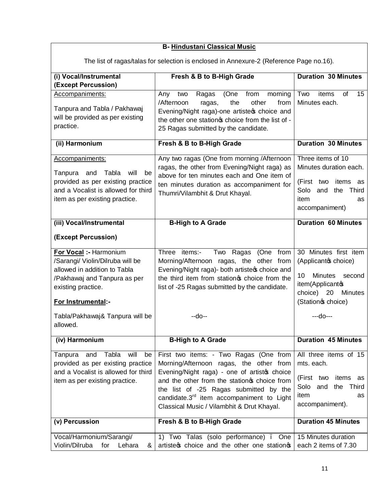| <b>B-Hindustani Classical Music</b>                                                                                                                                    |                                                                                                                                                                                                                                                                                                                                                                 |                                                                                                                                                                    |  |  |
|------------------------------------------------------------------------------------------------------------------------------------------------------------------------|-----------------------------------------------------------------------------------------------------------------------------------------------------------------------------------------------------------------------------------------------------------------------------------------------------------------------------------------------------------------|--------------------------------------------------------------------------------------------------------------------------------------------------------------------|--|--|
| The list of ragas/talas for selection is enclosed in Annexure-2 (Reference Page no.16).                                                                                |                                                                                                                                                                                                                                                                                                                                                                 |                                                                                                                                                                    |  |  |
| (i) Vocal/Instrumental<br>(Except Percussion)                                                                                                                          | Fresh & B to B-High Grade                                                                                                                                                                                                                                                                                                                                       | <b>Duration 30 Minutes</b>                                                                                                                                         |  |  |
| Accompaniments:<br>Tanpura and Tabla / Pakhawaj<br>will be provided as per existing<br>practice.                                                                       | (One<br>from<br>Any<br>two<br>Ragas<br>morning<br>other<br>/Afternoon<br>the<br>from<br>ragas,<br>Evening/Night raga)-one artistec choice and<br>the other one stationos choice from the list of -<br>25 Ragas submitted by the candidate.                                                                                                                      | Two<br>items<br><b>of</b><br>15<br>Minutes each.                                                                                                                   |  |  |
| (ii) Harmonium                                                                                                                                                         | Fresh & B to B-High Grade                                                                                                                                                                                                                                                                                                                                       | <b>Duration 30 Minutes</b>                                                                                                                                         |  |  |
| Accompaniments:<br>Tabla<br>will<br>Tanpura<br>and<br>be<br>provided as per existing practice<br>and a Vocalist is allowed for third<br>item as per existing practice. | Any two ragas (One from morning / Afternoon<br>ragas, the other from Evening/Night raga) as<br>above for ten minutes each and One item of<br>ten minutes duration as accompaniment for<br>Thumri/Vilambhit & Drut Khayal.                                                                                                                                       | Three items of 10<br>Minutes duration each.<br>(First two<br>items<br>as<br>Solo<br>and<br>the<br>Third<br>item<br>as<br>accompaniment)                            |  |  |
| (iii) Vocal/Instrumental                                                                                                                                               | <b>B-High to A Grade</b>                                                                                                                                                                                                                                                                                                                                        | <b>Duration 60 Minutes</b>                                                                                                                                         |  |  |
| (Except Percussion)                                                                                                                                                    |                                                                                                                                                                                                                                                                                                                                                                 |                                                                                                                                                                    |  |  |
| For Vocal :- Harmonium<br>/Sarangi/ Violin/Dilruba will be<br>allowed in addition to Tabla<br>/Pakhawaj and Tanpura as per<br>existing practice.<br>For Instrumental:- | Three items:-<br>Ragas<br>from<br>Two<br>(One<br>Morning/Afternoon ragas, the other from<br>Evening/Night raga)- both artistec choice and<br>the third item from stationos choice from the<br>list of -25 Ragas submitted by the candidate.                                                                                                                     | Minutes first item<br>30 <sup>°</sup><br>(Applicantos choice)<br>10<br><b>Minutes</b><br>second<br>item(Applicantop<br>choice) 20<br>Minutes<br>(Stationos choice) |  |  |
| Tabla/Pakhawaj& Tanpura will be<br>allowed.                                                                                                                            | --do--                                                                                                                                                                                                                                                                                                                                                          | ---do---                                                                                                                                                           |  |  |
| (iv) Harmonium                                                                                                                                                         | <b>B-High to A Grade</b>                                                                                                                                                                                                                                                                                                                                        | <b>Duration 45 Minutes</b>                                                                                                                                         |  |  |
| Tabla<br>will<br>be<br>Tanpura and<br>provided as per existing practice<br>and a Vocalist is allowed for third<br>item as per existing practice.<br>(v) Percussion     | First two items: - Two Ragas (One from<br>Morning/Afternoon ragas, the other from<br>Evening/Night raga) - one of artistos choice<br>and the other from the stationos choice from<br>the list of -25 Ragas submitted by the<br>candidate.3 <sup>rd</sup> item accompaniment to Light<br>Classical Music / Vilambhit & Drut Khayal.<br>Fresh & B to B-High Grade | All three items of 15<br>mts. each.<br>(First two<br>items<br>as<br>Solo<br>the<br>and<br>Third<br>item<br>as<br>accompaniment).<br><b>Duration 45 Minutes</b>     |  |  |
|                                                                                                                                                                        |                                                                                                                                                                                                                                                                                                                                                                 | 15 Minutes duration                                                                                                                                                |  |  |
| Vocal/Harmonium/Sarangi/<br>Violin/Dilruba<br>for<br>Lehara<br>&                                                                                                       | 1) Two Talas (solo performance).<br>One<br>artistec choice and the other one stationos                                                                                                                                                                                                                                                                          | each 2 items of 7.30                                                                                                                                               |  |  |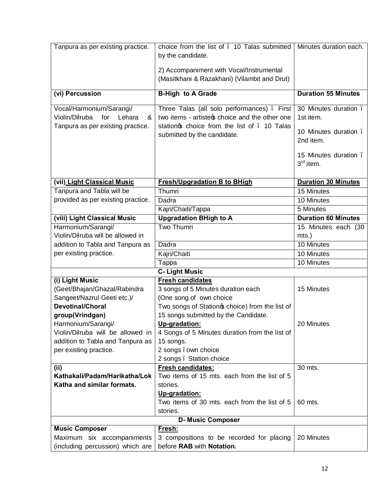| Tanpura as per existing practice.                   | choice from the list of . 10 Talas submitted<br>by the candidate.                        | Minutes duration each.     |
|-----------------------------------------------------|------------------------------------------------------------------------------------------|----------------------------|
|                                                     |                                                                                          |                            |
|                                                     | 2) Accompaniment with Vocal/Instrumental<br>(Masitkhani & Razakhani) (Vilambit and Drut) |                            |
|                                                     |                                                                                          |                            |
| (vi) Percussion                                     | <b>B-High to A Grade</b>                                                                 | <b>Duration 55 Minutes</b> |
| Vocal/Harmonium/Sarangi/                            | Three Talas (all solo performances) . First                                              | 30 Minutes duration.       |
| Violin/Dilruba<br>for<br>Lehara<br>&                | two items - artistecs choice and the other one                                           | 1st item.                  |
| Tanpura as per existing practice.                   | stationos choice from the list of . 10 Talas                                             | 10 Minutes duration.       |
|                                                     | submitted by the candidate.                                                              | 2nd item.                  |
|                                                     |                                                                                          |                            |
|                                                     |                                                                                          | 15 Minutes duration.       |
|                                                     |                                                                                          | $3rd$ item.                |
| (vii) Light Classical Music                         | <b>Fresh/Upgradation B to BHigh</b>                                                      | <b>Duration 30 Minutes</b> |
| Tanpura and Tabla will be                           | Thumri                                                                                   | 15 Minutes                 |
| provided as per existing practice.                  | Dadra                                                                                    | 10 Minutes                 |
|                                                     | Kajri/Chaiti/Tappa                                                                       | 5 Minutes                  |
| (viii) Light Classical Music                        | <b>Upgradation BHigh to A</b>                                                            | <b>Duration 60 Minutes</b> |
| Harmonium/Sarangi/                                  | Two Thumri                                                                               | 15 Minutes each (30        |
| Violin/Dilruba will be allowed in                   |                                                                                          | mts.)                      |
| addition to Tabla and Tanpura as                    | Dadra                                                                                    | 10 Minutes                 |
| per existing practice.                              | Kajri/Chaiti                                                                             | 10 Minutes                 |
|                                                     | Tappa                                                                                    | 10 Minutes                 |
|                                                     | <b>C-Light Music</b>                                                                     |                            |
| (i) Light Music                                     | <b>Fresh candidates</b>                                                                  |                            |
| (Geet/Bhajan/Ghazal/Rabindra                        | 3 songs of 5 Minutes duration each                                                       | 15 Minutes                 |
| Sangeet/Nazrul Geeti etc.)/                         | (One song of own choice                                                                  |                            |
| <b>Devotinal/Choral</b>                             | Two songs of Stationos choice) from the list of                                          |                            |
| group(Vrindgan)<br>Harmonium/Sarangi/               | 15 songs submitted by the Candidate.<br>Up-gradation:                                    | 20 Minutes                 |
| Violin/Dilruba will be allowed in                   | 4 Songs of 5 Minutes duration from the list of                                           |                            |
| addition to Tabla and Tanpura as                    | 15 songs.                                                                                |                            |
| per existing practice.                              | 2 songs own choice                                                                       |                            |
|                                                     | 2 songs Station choice                                                                   |                            |
| (ii)                                                | <b>Fresh candidates:</b>                                                                 | 30 mts.                    |
| Kathakali/Padam/Harikatha/Lok                       | Two items of 15 mts. each from the list of 5                                             |                            |
| Katha and similar formats.                          | stories.                                                                                 |                            |
|                                                     | Up-gradation:                                                                            |                            |
|                                                     | Two items of 30 mts. each from the list of 5                                             | 60 mts.                    |
|                                                     | stories.                                                                                 |                            |
|                                                     | <b>D- Music Composer</b>                                                                 |                            |
| <b>Music Composer</b><br>Maximum six accompaniments | Fresh:<br>3 compositions to be recorded for placing                                      | 20 Minutes                 |
| (including percussion) which are                    | before RAB with Notation.                                                                |                            |
|                                                     |                                                                                          |                            |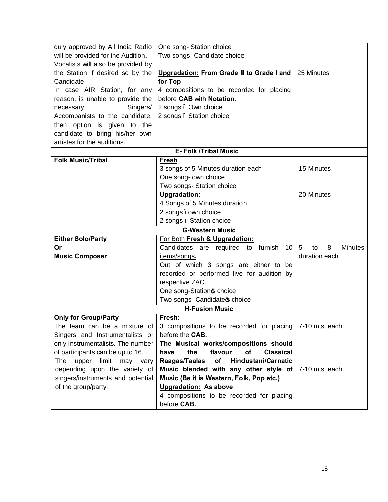| duly approved by All India Radio   | One song-Station choice                                    |                                |
|------------------------------------|------------------------------------------------------------|--------------------------------|
| will be provided for the Audition. | Two songs- Candidate choice                                |                                |
| Vocalists will also be provided by |                                                            |                                |
| the Station if desired so by the   | Upgradation: From Grade II to Grade I and                  | 25 Minutes                     |
| Candidate.                         | for Top                                                    |                                |
| In case AIR Station, for any       | 4 compositions to be recorded for placing                  |                                |
| reason, is unable to provide the   | before CAB with Notation.                                  |                                |
| Singers/<br>necessary              | 2 songs. Own choice                                        |                                |
| Accompanists to the candidate,     | 2 songs Station choice                                     |                                |
| then option is given to the        |                                                            |                                |
| candidate to bring his/her own     |                                                            |                                |
| artistes for the auditions.        |                                                            |                                |
|                                    | <b>E- Folk /Tribal Music</b>                               |                                |
| <b>Folk Music/Tribal</b>           | <b>Fresh</b>                                               |                                |
|                                    | 3 songs of 5 Minutes duration each                         | 15 Minutes                     |
|                                    | One song- own choice                                       |                                |
|                                    | Two songs- Station choice                                  |                                |
|                                    | Upgradation:                                               | 20 Minutes                     |
|                                    | 4 Songs of 5 Minutes duration                              |                                |
|                                    | 2 songs . own choice                                       |                                |
|                                    | 2 songs. Station choice                                    |                                |
|                                    |                                                            |                                |
|                                    | <b>G-Western Music</b>                                     |                                |
| <b>Either Solo/Party</b>           | For Both Fresh & Upgradation:                              |                                |
| Or                                 | Candidates are required to furnish 10                      | 8<br><b>Minutes</b><br>5<br>to |
| <b>Music Composer</b>              | items/songs.                                               | duration each                  |
|                                    | Out of which 3 songs are either to be                      |                                |
|                                    | recorded or performed live for audition by                 |                                |
|                                    | respective ZAC.                                            |                                |
|                                    | One song-Station of choice                                 |                                |
|                                    | Two songs- Candidatecs choice                              |                                |
|                                    | <b>H-Fusion Music</b>                                      |                                |
| <b>Only for Group/Party</b>        | Fresh:                                                     |                                |
| The team can be a mixture of       | 3 compositions to be recorded for placing   7-10 mts. each |                                |
| Singers and Instrumentalists or    | before the CAB.                                            |                                |
| only Instrumentalists. The number  | The Musical works/compositions should                      |                                |
| of participants can be up to 16.   | flavour<br>of<br><b>Classical</b><br>have<br>the           |                                |
| limit<br>The<br>upper<br>may vary  | of<br><b>Hindustani/Carnatic</b><br>Raagas/Taalas          |                                |
| depending upon the variety of      | Music blended with any other style of                      | 7-10 mts. each                 |
| singers/instruments and potential  | Music (Be it is Western, Folk, Pop etc.)                   |                                |
| of the group/party.                | <b>Upgradation: As above</b>                               |                                |
|                                    | 4 compositions to be recorded for placing<br>before CAB.   |                                |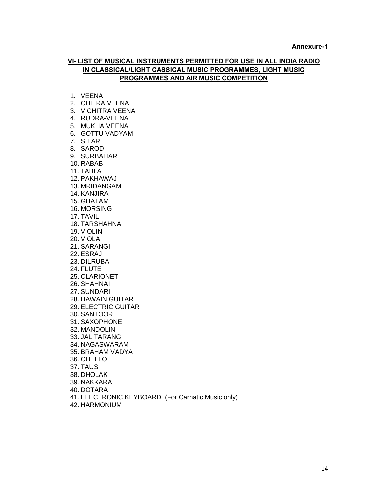# **VI- LIST OF MUSICAL INSTRUMENTS PERMITTED FOR USE IN ALL INDIA RADIO IN CLASSICAL/LIGHT CASSICAL MUSIC PROGRAMMES, LIGHT MUSIC PROGRAMMES AND AIR MUSIC COMPETITION**

- 1. VEENA
- 2. CHITRA VEENA
- 3. VICHITRA VEENA
- 4. RUDRA-VEENA
- 5. MUKHA VEENA
- 6. GOTTU VADYAM
- 7. SITAR
- 8. SAROD
- 9. SURBAHAR
- 10. RABAB
- 11. TABLA
- 12. PAKHAWAJ
- 13. MRIDANGAM
- 14. KANJIRA
- 15. GHATAM
- 16. MORSING
- 17. TAVIL
- 18. TARSHAHNAI
- 19. VIOLIN
- 20. VIOLA
- 21. SARANGI
- 22. ESRAJ
- 23. DILRUBA
- 24. FLUTE
- 25. CLARIONET
- 26. SHAHNAI
- 27. SUNDARI
- 28. HAWAIN GUITAR
- 29. ELECTRIC GUITAR
- 30. SANTOOR
- 31. SAXOPHONE
- 32. MANDOLIN
- 33. JAL TARANG
- 34. NAGASWARAM
- 35. BRAHAM VADYA
- 36. CHELLO
- 37. TAUS
- 38. DHOLAK
- 39. NAKKARA
- 40. DOTARA
- 
- 41. ELECTRONIC KEYBOARD (For Carnatic Music only)
- 42. HARMONIUM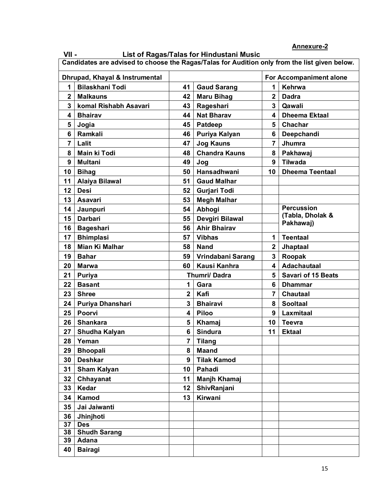# **Annexure-2**

| LISTOT Nagas/Talas TOF TIMUQUSTANII MUSIC<br>Candidates are advised to choose the Ragas/Talas for Audition only from the list given below. |                                |                |                      |              |                           |
|--------------------------------------------------------------------------------------------------------------------------------------------|--------------------------------|----------------|----------------------|--------------|---------------------------|
|                                                                                                                                            | Dhrupad, Khayal & Instrumental |                |                      |              | For Accompaniment alone   |
| 1                                                                                                                                          | <b>Bilaskhani Todi</b>         | 41             | <b>Gaud Sarang</b>   | 1            | Kehrwa                    |
| $\overline{\mathbf{2}}$                                                                                                                    | <b>Malkauns</b>                | 42             | <b>Maru Bihag</b>    | $\mathbf{2}$ | <b>Dadra</b>              |
| 3                                                                                                                                          | komal Rishabh Asavari          | 43             | Rageshari            | 3            | Qawali                    |
| 4                                                                                                                                          | <b>Bhairav</b>                 | 44             | <b>Nat Bharav</b>    | 4            | <b>Dheema Ektaal</b>      |
| 5                                                                                                                                          | Jogia                          | 45             | Patdeep              | 5            | Chachar                   |
| 6                                                                                                                                          | Ramkali                        | 46             | Puriya Kalyan        | 6            | Deepchandi                |
| $\overline{7}$                                                                                                                             | Lalit                          | 47             | <b>Jog Kauns</b>     | 7            | Jhumra                    |
| 8                                                                                                                                          | Main ki Todi                   | 48             | <b>Chandra Kauns</b> | 8            | Pakhawaj                  |
| 9                                                                                                                                          | <b>Multani</b>                 | 49             | Jog                  | 9            | <b>Tilwada</b>            |
| 10                                                                                                                                         | <b>Bihag</b>                   | 50             | Hansadhwani          | 10           | <b>Dheema Teentaal</b>    |
| 11                                                                                                                                         | <b>Alaiya Bilawal</b>          | 51             | <b>Gaud Malhar</b>   |              |                           |
| 12                                                                                                                                         | <b>Desi</b>                    | 52             | Gurjari Todi         |              |                           |
| 13                                                                                                                                         | <b>Asavari</b>                 | 53             | <b>Megh Malhar</b>   |              |                           |
| 14                                                                                                                                         | Jaunpuri                       | 54             | Abhogi               |              | <b>Percussion</b>         |
| 15                                                                                                                                         | <b>Darbari</b>                 | 55             | Devgiri Bilawal      |              | (Tabla, Dholak &          |
| 16                                                                                                                                         | <b>Bageshari</b>               | 56             | <b>Ahir Bhairav</b>  |              | Pakhawaj)                 |
| 17                                                                                                                                         | <b>Bhimplasi</b>               | 57             | <b>Vibhas</b>        | 1            | <b>Teentaal</b>           |
| 18                                                                                                                                         | <b>Mian Ki Malhar</b>          | 58             | <b>Nand</b>          | $\mathbf{2}$ | Jhaptaal                  |
| 19                                                                                                                                         | <b>Bahar</b>                   | 59             | Vrindabani Sarang    | 3            | Roopak                    |
| 20                                                                                                                                         | Marwa                          | 60             | Kausi Kanhra         | 4            | <b>Adachautaal</b>        |
| 21                                                                                                                                         | Puriya                         |                | Thumri/Dadra         | 5            | <b>Savari of 15 Beats</b> |
| 22                                                                                                                                         | <b>Basant</b>                  | 1              | Gara                 | 6            | <b>Dhammar</b>            |
| 23                                                                                                                                         | <b>Shree</b>                   | $\overline{2}$ | Kafi                 | 7            | <b>Chautaal</b>           |
| 24                                                                                                                                         | Puriya Dhanshari               | 3              | <b>Bhairavi</b>      | 8            | <b>Sooltaal</b>           |
| 25                                                                                                                                         | Poorvi                         | 4              | <b>Piloo</b>         | 9            | <b>Laxmitaal</b>          |
| 26                                                                                                                                         | <b>Shankara</b>                | 5              | Khamaj               | 10           | <b>Teevra</b>             |
| 27                                                                                                                                         | Shudha Kalyan                  | 6              | <b>Sindura</b>       | 11           | <b>Ektaal</b>             |
| 28                                                                                                                                         | Yeman                          | 7              | <b>Tilang</b>        |              |                           |
| 29                                                                                                                                         | <b>Bhoopali</b>                | 8              | <b>Maand</b>         |              |                           |
| 30                                                                                                                                         | <b>Deshkar</b>                 | 9              | <b>Tilak Kamod</b>   |              |                           |
| 31                                                                                                                                         | <b>Sham Kalyan</b>             | 10             | Pahadi               |              |                           |
| 32                                                                                                                                         | Chhayanat                      | 11             | Manjh Khamaj         |              |                           |
| 33                                                                                                                                         | Kedar                          | 12             | ShivRanjani          |              |                           |
| 34                                                                                                                                         | Kamod                          | 13             | Kirwani              |              |                           |
| 35                                                                                                                                         | Jai Jaiwanti                   |                |                      |              |                           |
| 36                                                                                                                                         | Jhinjhoti                      |                |                      |              |                           |
| 37                                                                                                                                         | <b>Des</b>                     |                |                      |              |                           |
| 38                                                                                                                                         | <b>Shudh Sarang</b>            |                |                      |              |                           |
| 39                                                                                                                                         | Adana                          |                |                      |              |                           |
| 40                                                                                                                                         | <b>Bairagi</b>                 |                |                      |              |                           |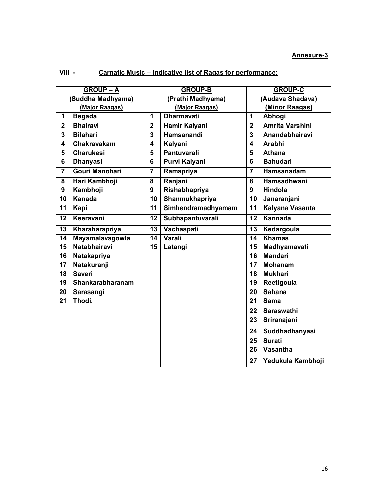# **Annexure-3**

| <b>GROUP - A</b>  |                       | <b>GROUP-B</b>          |                       |                         | <b>GROUP-C</b>         |  |
|-------------------|-----------------------|-------------------------|-----------------------|-------------------------|------------------------|--|
| (Suddha Madhyama) |                       | (Prathi Madhyama)       |                       | (Audava Shadava)        |                        |  |
| (Major Raagas)    |                       | (Major Raagas)          |                       | (Minor Raagas)          |                        |  |
| 1                 | <b>Begada</b>         | 1                       | <b>Dharmavati</b>     | 1                       | Abhogi                 |  |
| $\overline{2}$    | <b>Bhairavi</b>       | $\overline{2}$          | <b>Hamir Kalyani</b>  | $\overline{2}$          | <b>Amrita Varshini</b> |  |
| 3                 | <b>Bilahari</b>       | $\overline{\mathbf{3}}$ | <b>Hamsanandi</b>     | 3                       | Anandabhairavi         |  |
| 4                 | Chakravakam           | 4                       | Kalyani               | 4                       | Arabhi                 |  |
| 5                 | <b>Charukesi</b>      | 5                       | Pantuvarali           | 5                       | Athana                 |  |
| $\overline{6}$    | <b>Dhanyasi</b>       | $\overline{6}$          | <b>Purvi Kalyani</b>  | $\overline{\mathbf{6}}$ | <b>Bahudari</b>        |  |
|                   | <b>Gouri Manohari</b> | 7                       | Ramapriya             | $\overline{\mathbf{7}}$ | Hamsanadam             |  |
| 8                 | Hari Kambhoji         | $\overline{\mathbf{8}}$ | Ranjani               | 8                       | Hamsadhwani            |  |
| 9                 | Kambhoji              | $\overline{9}$          | Rishabhapriya         | 9                       | <b>Hindola</b>         |  |
| 10                | Kanada                | $\overline{10}$         | <b>Shanmukhapriya</b> | 10                      | Janaranjani            |  |
| $\overline{11}$   | Kapi                  | $\overline{11}$         | Simhendramadhyamam    | $\overline{11}$         | Kalyana Vasanta        |  |
| 12                | Keeravani             | 12                      | Subhapantuvarali      | 12                      | Kannada                |  |
| $\overline{13}$   | Kharaharapriya        | $\overline{13}$         | Vachaspati            | $\overline{13}$         | Kedargoula             |  |
| $\overline{14}$   | Mayamalavagowla       | $\overline{14}$         | Varali                | $\overline{14}$         | <b>Khamas</b>          |  |
| $\overline{15}$   | <b>Natabhairavi</b>   | 15                      | Latangi               | 15                      | <b>Madhyamavati</b>    |  |
| $\overline{16}$   | Natakapriya           |                         |                       | 16                      | <b>Mandari</b>         |  |
| $\overline{17}$   | Natakuranji           |                         |                       | $\overline{17}$         | <b>Mohanam</b>         |  |
| $\overline{18}$   | <b>Saveri</b>         |                         |                       | $\overline{18}$         | <b>Mukhari</b>         |  |
| 19                | Shankarabharanam      |                         |                       | $\overline{19}$         | Reetigoula             |  |
| 20                | Sarasangi             |                         |                       | 20                      | <b>Sahana</b>          |  |
| 21                | Thodi.                |                         |                       | 21                      | <b>Sama</b>            |  |
|                   |                       |                         |                       | $\overline{22}$         | <b>Saraswathi</b>      |  |
|                   |                       |                         |                       | 23                      | Sriranajani            |  |
|                   |                       |                         |                       | 24                      | <b>Suddhadhanyasi</b>  |  |
|                   |                       |                         |                       | $\overline{25}$         | <b>Surati</b>          |  |
|                   |                       |                         |                       | 26                      | Vasantha               |  |
|                   |                       |                         |                       | 27                      | Yedukula Kambhoji      |  |

# **VIII - Carnatic Music – Indicative list of Ragas for performance:**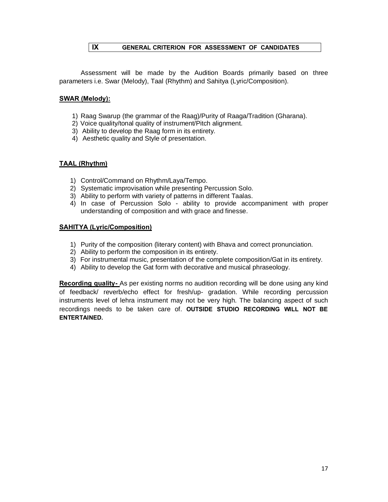# **IX GENERAL CRITERION FOR ASSESSMENT OF CANDIDATES**

Assessment will be made by the Audition Boards primarily based on three parameters i.e. Swar (Melody), Taal (Rhythm) and Sahitya (Lyric/Composition).

### **SWAR (Melody):**

- 1) Raag Swarup (the grammar of the Raag)/Purity of Raaga/Tradition (Gharana).
- 2) Voice quality/tonal quality of instrument/Pitch alignment.
- 3) Ability to develop the Raag form in its entirety.
- 4) Aesthetic quality and Style of presentation.

### **TAAL (Rhythm)**

- 1) Control/Command on Rhythm/Laya/Tempo.
- 2) Systematic improvisation while presenting Percussion Solo.
- 3) Ability to perform with variety of patterns in different Taalas.
- 4) In case of Percussion Solo ability to provide accompaniment with proper understanding of composition and with grace and finesse.

### **SAHITYA (Lyric/Composition)**

- 1) Purity of the composition (literary content) with Bhava and correct pronunciation.
- 2) Ability to perform the composition in its entirety.
- 3) For instrumental music, presentation of the complete composition/Gat in its entirety.
- 4) Ability to develop the Gat form with decorative and musical phraseology.

**Recording quality-** As per existing norms no audition recording will be done using any kind of feedback/ reverb/echo effect for fresh/up- gradation. While recording percussion instruments level of lehra instrument may not be very high. The balancing aspect of such recordings needs to be taken care of. **OUTSIDE STUDIO RECORDING WILL NOT BE ENTERTAINED.**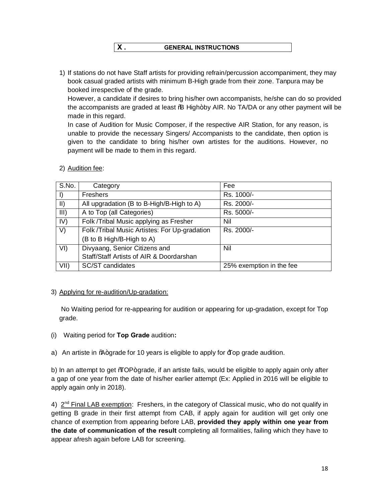**X . GENERAL INSTRUCTIONS**

1) If stations do not have Staff artists for providing refrain/percussion accompaniment, they may book casual graded artists with minimum B-High grade from their zone. Tanpura may be booked irrespective of the grade.

However, a candidate if desires to bring his/her own accompanists, he/she can do so provided the accompanists are graded at least % High+by AIR. No TA/DA or any other payment will be made in this regard.

In case of Audition for Music Composer, if the respective AIR Station, for any reason, is unable to provide the necessary Singers/ Accompanists to the candidate, then option is given to the candidate to bring his/her own artistes for the auditions. However, no payment will be made to them in this regard.

| S.No.       | Category                                      | Fee                      |
|-------------|-----------------------------------------------|--------------------------|
|             | <b>Freshers</b>                               | Rs. 1000/-               |
| $\parallel$ | All upgradation (B to B-High/B-High to A)     | Rs. 2000/-               |
| III)        | A to Top (all Categories)                     | Rs. 5000/-               |
| IV)         | Folk /Tribal Music applying as Fresher        | Nil                      |
| V)          | Folk /Tribal Music Artistes: For Up-gradation | Rs. 2000/-               |
|             | (B to B High/B-High to A)                     |                          |
| VI)         | Divyaang, Senior Citizens and                 | Nil                      |
|             | Staff/Staff Artists of AIR & Doordarshan      |                          |
| VII)        | <b>SC/ST candidates</b>                       | 25% exemption in the fee |

# 2) Audition fee:

### 3) Applying for re-audition/Up-gradation:

No Waiting period for re-appearing for audition or appearing for up-gradation, except for Top grade.

- (i) Waiting period for **Top Grade** audition**:**
- a) An artiste in  $%+$ grade for 10 years is eligible to apply for  $\text{\text{Top}}$  grade audition.

b) In an attempt to get %TOP+grade, if an artiste fails, would be eligible to apply again only after a gap of one year from the date of his/her earlier attempt (Ex: Applied in 2016 will be eligible to apply again only in 2018).

4)  $2^{nd}$  Final LAB exemption: Freshers, in the category of Classical music, who do not qualify in getting B grade in their first attempt from CAB, if apply again for audition will get only one chance of exemption from appearing before LAB, **provided they apply within one year from the date of communication of the result** completing all formalities, failing which they have to appear afresh again before LAB for screening.